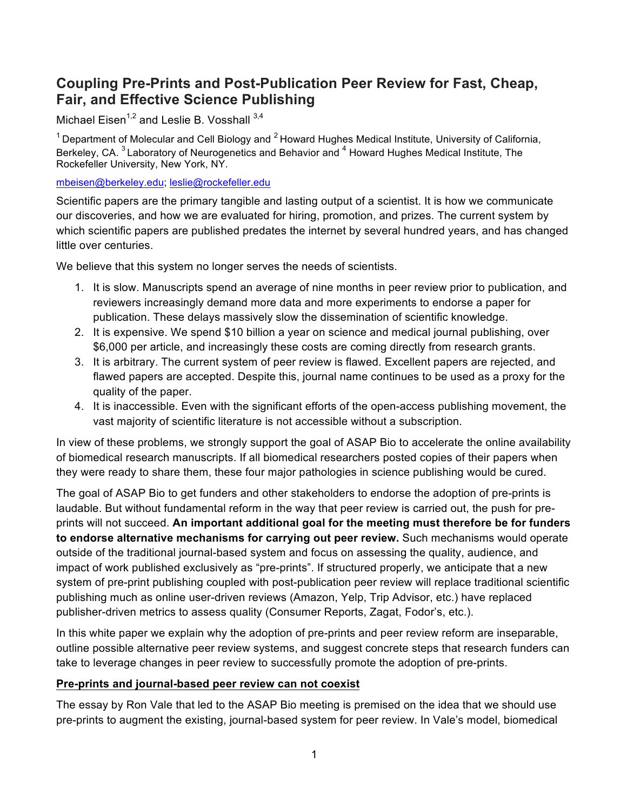# **Coupling Pre-Prints and Post-Publication Peer Review for Fast, Cheap, Fair, and Effective Science Publishing**

Michael Eisen<sup>1,2</sup> and Leslie B. Vosshall  $3,4$ 

 $1$  Department of Molecular and Cell Biology and  $2$  Howard Hughes Medical Institute, University of California, Berkeley, CA.<sup>3</sup> Laboratory of Neurogenetics and Behavior and <sup>4</sup> Howard Hughes Medical Institute, The Rockefeller University, New York, NY.

[mbeisen@berkeley.edu](mailto:mbeisen@berkeley.edu); [leslie@rockefeller.edu](mailto:leslie@rockefeller.edu)

Scientific papers are the primary tangible and lasting output of a scientist. It is how we communicate our discoveries, and how we are evaluated for hiring, promotion, and prizes. The current system by which scientific papers are published predates the internet by several hundred years, and has changed little over centuries.

We believe that this system no longer serves the needs of scientists.

- 1. It is slow. Manuscripts spend an average of nine months in peer review prior to publication, and reviewers increasingly demand more data and more experiments to endorse a paper for publication. These delays massively slow the dissemination of scientific knowledge.
- 2. It is expensive. We spend \$10 billion a year on science and medical journal publishing, over \$6,000 per article, and increasingly these costs are coming directly from research grants.
- 3. It is arbitrary. The current system of peer review is flawed. Excellent papers are rejected, and flawed papers are accepted. Despite this, journal name continues to be used as a proxy for the quality of the paper.
- 4. It is inaccessible. Even with the significant efforts of the open-access publishing movement, the vast majority of scientific literature is not accessible without a subscription.

In view of these problems, we strongly support the goal of ASAP Bio to accelerate the online availability of biomedical research manuscripts. If all biomedical researchers posted copies of their papers when they were ready to share them, these four major pathologies in science publishing would be cured.

The goal of ASAP Bio to get funders and other stakeholders to endorse the adoption of pre-prints is laudable. But without fundamental reform in the way that peer review is carried out, the push for preprints will not succeed. **An important additional goal for the meeting must therefore be for funders to endorse alternative mechanisms for carrying out peer review.** Such mechanisms would operate outside of the traditional journal-based system and focus on assessing the quality, audience, and impact of work published exclusively as "pre-prints". If structured properly, we anticipate that a new system of pre-print publishing coupled with post-publication peer review will replace traditional scientific publishing much as online user-driven reviews (Amazon, Yelp, Trip Advisor, etc.) have replaced publisher-driven metrics to assess quality (Consumer Reports, Zagat, Fodor's, etc.).

In this white paper we explain why the adoption of pre-prints and peer review reform are inseparable, outline possible alternative peer review systems, and suggest concrete steps that research funders can take to leverage changes in peer review to successfully promote the adoption of pre-prints.

#### **Pre-prints and journal-based peer review can not coexist**

The essay by Ron Vale that led to the ASAP Bio meeting is premised on the idea that we should use pre-prints to augment the existing, journal-based system for peer review. In Vale's model, biomedical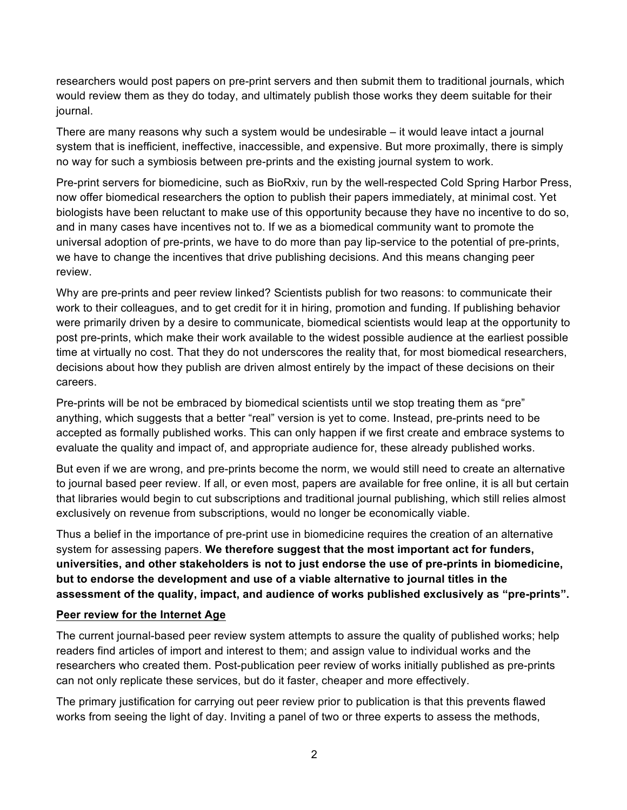researchers would post papers on pre-print servers and then submit them to traditional journals, which would review them as they do today, and ultimately publish those works they deem suitable for their journal.

There are many reasons why such a system would be undesirable – it would leave intact a journal system that is inefficient, ineffective, inaccessible, and expensive. But more proximally, there is simply no way for such a symbiosis between pre-prints and the existing journal system to work.

Pre-print servers for biomedicine, such as BioRxiv, run by the well-respected Cold Spring Harbor Press, now offer biomedical researchers the option to publish their papers immediately, at minimal cost. Yet biologists have been reluctant to make use of this opportunity because they have no incentive to do so, and in many cases have incentives not to. If we as a biomedical community want to promote the universal adoption of pre-prints, we have to do more than pay lip-service to the potential of pre-prints, we have to change the incentives that drive publishing decisions. And this means changing peer review.

Why are pre-prints and peer review linked? Scientists publish for two reasons: to communicate their work to their colleagues, and to get credit for it in hiring, promotion and funding. If publishing behavior were primarily driven by a desire to communicate, biomedical scientists would leap at the opportunity to post pre-prints, which make their work available to the widest possible audience at the earliest possible time at virtually no cost. That they do not underscores the reality that, for most biomedical researchers, decisions about how they publish are driven almost entirely by the impact of these decisions on their careers.

Pre-prints will be not be embraced by biomedical scientists until we stop treating them as "pre" anything, which suggests that a better "real" version is yet to come. Instead, pre-prints need to be accepted as formally published works. This can only happen if we first create and embrace systems to evaluate the quality and impact of, and appropriate audience for, these already published works.

But even if we are wrong, and pre-prints become the norm, we would still need to create an alternative to journal based peer review. If all, or even most, papers are available for free online, it is all but certain that libraries would begin to cut subscriptions and traditional journal publishing, which still relies almost exclusively on revenue from subscriptions, would no longer be economically viable.

Thus a belief in the importance of pre-print use in biomedicine requires the creation of an alternative system for assessing papers. **We therefore suggest that the most important act for funders, universities, and other stakeholders is not to just endorse the use of pre-prints in biomedicine, but to endorse the development and use of a viable alternative to journal titles in the assessment of the quality, impact, and audience of works published exclusively as "pre-prints".** 

#### **Peer review for the Internet Age**

The current journal-based peer review system attempts to assure the quality of published works; help readers find articles of import and interest to them; and assign value to individual works and the researchers who created them. Post-publication peer review of works initially published as pre-prints can not only replicate these services, but do it faster, cheaper and more effectively.

The primary justification for carrying out peer review prior to publication is that this prevents flawed works from seeing the light of day. Inviting a panel of two or three experts to assess the methods,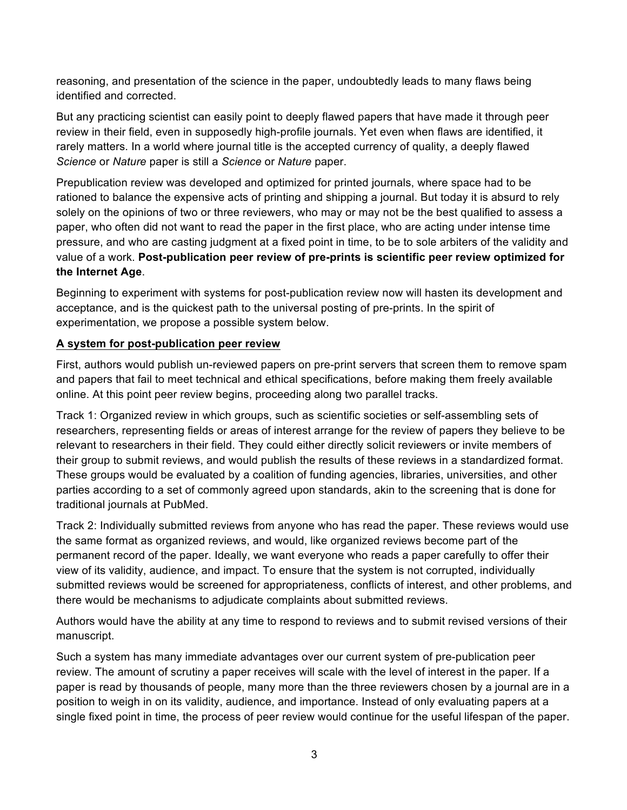reasoning, and presentation of the science in the paper, undoubtedly leads to many flaws being identified and corrected.

But any practicing scientist can easily point to deeply flawed papers that have made it through peer review in their field, even in supposedly high-profile journals. Yet even when flaws are identified, it rarely matters. In a world where journal title is the accepted currency of quality, a deeply flawed *Science* or *Nature* paper is still a *Science* or *Nature* paper.

Prepublication review was developed and optimized for printed journals, where space had to be rationed to balance the expensive acts of printing and shipping a journal. But today it is absurd to rely solely on the opinions of two or three reviewers, who may or may not be the best qualified to assess a paper, who often did not want to read the paper in the first place, who are acting under intense time pressure, and who are casting judgment at a fixed point in time, to be to sole arbiters of the validity and value of a work. **Post-publication peer review of pre-prints is scientific peer review optimized for the Internet Age**.

Beginning to experiment with systems for post-publication review now will hasten its development and acceptance, and is the quickest path to the universal posting of pre-prints. In the spirit of experimentation, we propose a possible system below.

## **A system for post-publication peer review**

First, authors would publish un-reviewed papers on pre-print servers that screen them to remove spam and papers that fail to meet technical and ethical specifications, before making them freely available online. At this point peer review begins, proceeding along two parallel tracks.

Track 1: Organized review in which groups, such as scientific societies or self-assembling sets of researchers, representing fields or areas of interest arrange for the review of papers they believe to be relevant to researchers in their field. They could either directly solicit reviewers or invite members of their group to submit reviews, and would publish the results of these reviews in a standardized format. These groups would be evaluated by a coalition of funding agencies, libraries, universities, and other parties according to a set of commonly agreed upon standards, akin to the screening that is done for traditional journals at PubMed.

Track 2: Individually submitted reviews from anyone who has read the paper. These reviews would use the same format as organized reviews, and would, like organized reviews become part of the permanent record of the paper. Ideally, we want everyone who reads a paper carefully to offer their view of its validity, audience, and impact. To ensure that the system is not corrupted, individually submitted reviews would be screened for appropriateness, conflicts of interest, and other problems, and there would be mechanisms to adjudicate complaints about submitted reviews.

Authors would have the ability at any time to respond to reviews and to submit revised versions of their manuscript.

Such a system has many immediate advantages over our current system of pre-publication peer review. The amount of scrutiny a paper receives will scale with the level of interest in the paper. If a paper is read by thousands of people, many more than the three reviewers chosen by a journal are in a position to weigh in on its validity, audience, and importance. Instead of only evaluating papers at a single fixed point in time, the process of peer review would continue for the useful lifespan of the paper.